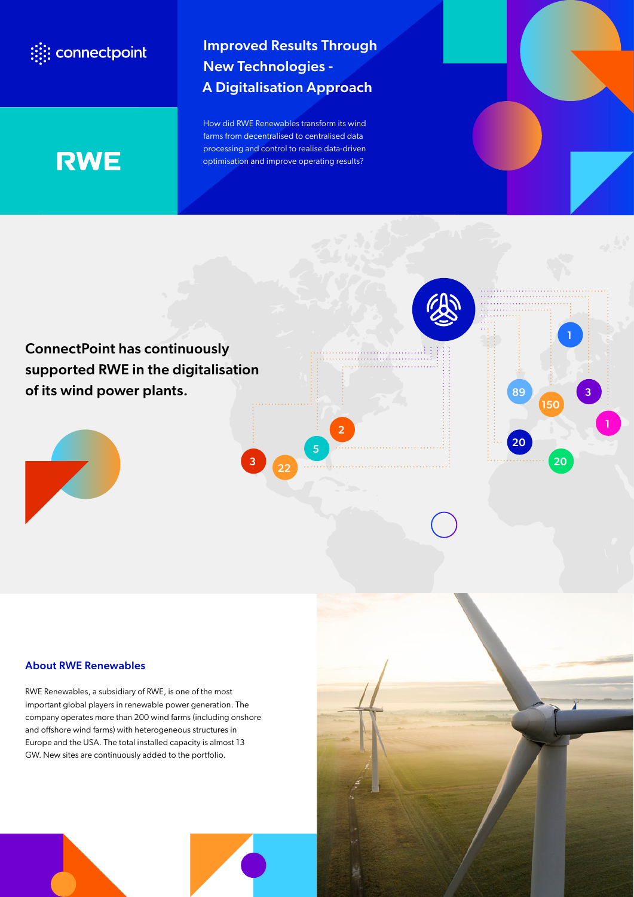## : connectpoint

Improved Results Through New Technologies - A Digitalisation Approach

How did RWE Renewables transform its wind farms from decentralised to centralised data processing and control to realise data-driven optimisation and improve operating results?

# **RWE**



### About RWE Renewables

RWE Renewables, a subsidiary of RWE, is one of the most important global players in renewable power generation. The company operates more than 200 wind farms (including onshore and offshore wind farms) with heterogeneous structures in Europe and the USA. The total installed capacity is almost 13 GW. New sites are continuously added to the portfolio.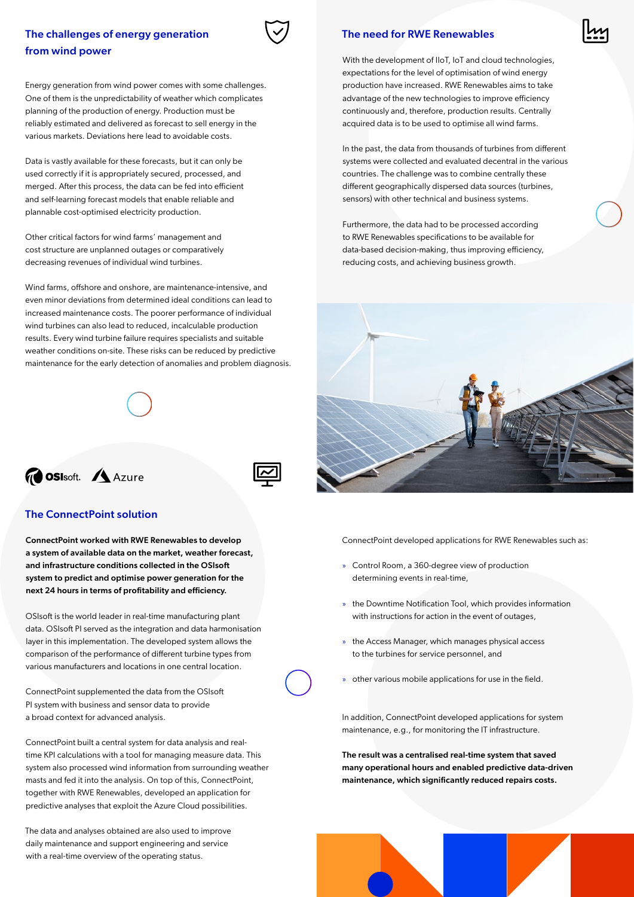## The challenges of energy generation from wind power

Energy generation from wind power comes with some challenges. One of them is the unpredictability of weather which complicates planning of the production of energy. Production must be reliably estimated and delivered as forecast to sell energy in the various markets. Deviations here lead to avoidable costs.

Data is vastly available for these forecasts, but it can only be used correctly if it is appropriately secured, processed, and merged. After this process, the data can be fed into efficient and self-learning forecast models that enable reliable and plannable cost-optimised electricity production.

Other critical factors for wind farms' management and cost structure are unplanned outages or comparatively decreasing revenues of individual wind turbines.

Wind farms, offshore and onshore, are maintenance-intensive, and even minor deviations from determined ideal conditions can lead to increased maintenance costs. The poorer performance of individual wind turbines can also lead to reduced, incalculable production results. Every wind turbine failure requires specialists and suitable weather conditions on-site. These risks can be reduced by predictive maintenance for the early detection of anomalies and problem diagnosis.

# *GOSIsoft.* Azure

#### The ConnectPoint solution

ConnectPoint worked with RWE Renewables to develop a system of available data on the market, weather forecast, and infrastructure conditions collected in the OSIsoft system to predict and optimise power generation for the next 24 hours in terms of profitability and efficiency.

OSIsoft is the world leader in real-time manufacturing plant data. OSIsoft PI served as the integration and data harmonisation layer in this implementation. The developed system allows the comparison of the performance of different turbine types from various manufacturers and locations in one central location.

ConnectPoint supplemented the data from the OSIsoft PI system with business and sensor data to provide a broad context for advanced analysis.

ConnectPoint built a central system for data analysis and realtime KPI calculations with a tool for managing measure data. This system also processed wind information from surrounding weather masts and fed it into the analysis. On top of this, ConnectPoint, together with RWE Renewables, developed an application for predictive analyses that exploit the Azure Cloud possibilities.

The data and analyses obtained are also used to improve daily maintenance and support engineering and service with a real-time overview of the operating status.

#### The need for RWE Renewables

With the development of IIoT, IoT and cloud technologies, expectations for the level of optimisation of wind energy production have increased. RWE Renewables aims to take advantage of the new technologies to improve efficiency continuously and, therefore, production results. Centrally acquired data is to be used to optimise all wind farms.

In the past, the data from thousands of turbines from different systems were collected and evaluated decentral in the various countries. The challenge was to combine centrally these different geographically dispersed data sources (turbines, sensors) with other technical and business systems.

Furthermore, the data had to be processed according to RWE Renewables specifications to be available for data-based decision-making, thus improving efficiency, reducing costs, and achieving business growth.



ConnectPoint developed applications for RWE Renewables such as:

- » Control Room, a 360-degree view of production determining events in real-time,
- » the Downtime Notification Tool, which provides information with instructions for action in the event of outages,
- » the Access Manager, which manages physical access to the turbines for service personnel, and
- » other various mobile applications for use in the field.

In addition, ConnectPoint developed applications for system maintenance, e.g., for monitoring the IT infrastructure.

The result was a centralised real-time system that saved many operational hours and enabled predictive data-driven maintenance, which significantly reduced repairs costs.